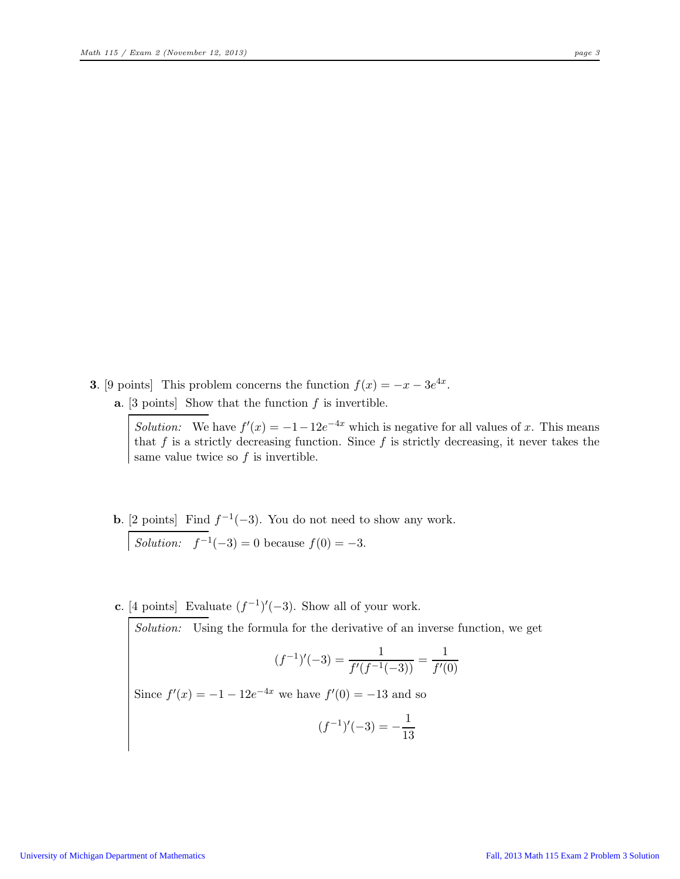- **3.** [9 points] This problem concerns the function  $f(x) = -x 3e^{4x}$ .
	- **a.** [3 points] Show that the function  $f$  is invertible.

Solution: We have  $f'(x) = -1 - 12e^{-4x}$  which is negative for all values of x. This means that f is a strictly decreasing function. Since f is strictly decreasing, it never takes the same value twice so  $f$  is invertible.

- **b.** [2 points] Find  $f^{-1}(-3)$ . You do not need to show any work. Solution:  $f^{-1}(-3) = 0$  because  $f(0) = -3$ .
- c. [4 points] Evaluate  $(f^{-1})'(-3)$ . Show all of your work.

Solution: Using the formula for the derivative of an inverse function, we get

$$
(f^{-1})'(-3) = \frac{1}{f'(f^{-1}(-3))} = \frac{1}{f'(0)}
$$

Since  $f'(x) = -1 - 12e^{-4x}$  we have  $f'(0) = -13$  and so

$$
(f^{-1})'(-3) = -\frac{1}{13}
$$